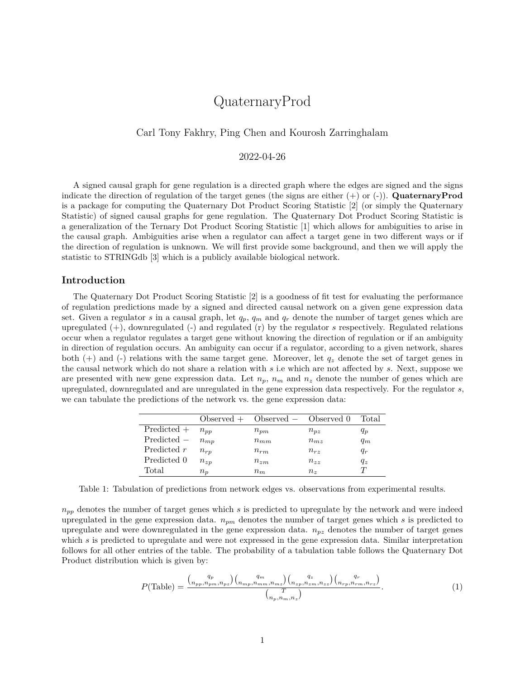# QuaternaryProd

## Carl Tony Fakhry, Ping Chen and Kourosh Zarringhalam

## 2022-04-26

A signed causal graph for gene regulation is a directed graph where the edges are signed and the signs indicate the direction of regulation of the target genes (the signs are either (+) or (-)). **QuaternaryProd** is a package for computing the Quaternary Dot Product Scoring Statistic [2] (or simply the Quaternary Statistic) of signed causal graphs for gene regulation. The Quaternary Dot Product Scoring Statistic is a generalization of the Ternary Dot Product Scoring Statistic [1] which allows for ambiguities to arise in the causal graph. Ambiguities arise when a regulator can affect a target gene in two different ways or if the direction of regulation is unknown. We will first provide some background, and then we will apply the statistic to STRINGdb [3] which is a publicly available biological network.

#### **Introduction**

The Quaternary Dot Product Scoring Statistic [2] is a goodness of fit test for evaluating the performance of regulation predictions made by a signed and directed causal network on a given gene expression data set. Given a regulator *s* in a causal graph, let  $q_p$ ,  $q_m$  and  $q_r$  denote the number of target genes which are upregulated (+), downregulated (-) and regulated (r) by the regulator *s* respectively. Regulated relations occur when a regulator regulates a target gene without knowing the direction of regulation or if an ambiguity in direction of regulation occurs. An ambiguity can occur if a regulator, according to a given network, shares both  $(+)$  and  $(-)$  relations with the same target gene. Moreover, let  $q_z$  denote the set of target genes in the causal network which do not share a relation with *s* i.e which are not affected by *s*. Next, suppose we are presented with new gene expression data. Let  $n_p$ ,  $n_m$  and  $n_z$  denote the number of genes which are upregulated, downregulated and are unregulated in the gene expression data respectively. For the regulator *s*, we can tabulate the predictions of the network vs. the gene expression data:

|               |             | $Observed + Observed - Observed 0$ |              | 'Total  |
|---------------|-------------|------------------------------------|--------------|---------|
| $Predicted +$ | $n_{nn}$    | $n_{\text{p}m}$                    | $n_{pz}$     | $q_p$   |
| $Predicted -$ | $n_{mp}$    | $n_{mm}$                           | $n_{m}$      | $q_m$   |
| Predicted r   | $n_{rp}$    | $n_{rm}$                           | $n_{rz}$     | $q_r$   |
| Predicted 0   | $n_{zp}$    | $n_{zm}$                           | $n_{zz}$     | $q_{z}$ |
| Total         | $n_{\bm n}$ | $n_m$                              | $n_{\gamma}$ |         |

Table 1: Tabulation of predictions from network edges vs. observations from experimental results.

*npp* denotes the number of target genes which *s* is predicted to upregulate by the network and were indeed upregulated in the gene expression data. *npm* denotes the number of target genes which *s* is predicted to upregulate and were downregulated in the gene expression data. *npz* denotes the number of target genes which *s* is predicted to upregulate and were not expressed in the gene expression data. Similar interpretation follows for all other entries of the table. The probability of a tabulation table follows the Quaternary Dot Product distribution which is given by:

$$
P(\text{Table}) = \frac{\binom{q_p}{n_{pp}, n_{pm}, n_{pz}} \binom{q_m}{n_{mp}, n_{mm}, n_{nz}} \binom{q_z}{n_{zp}, n_{zm}, n_{zz}} \binom{q_r}{n_{rp}, n_{rm}, n_{rz}}}{\binom{T}{n_p, n_m, n_z}}.
$$
(1)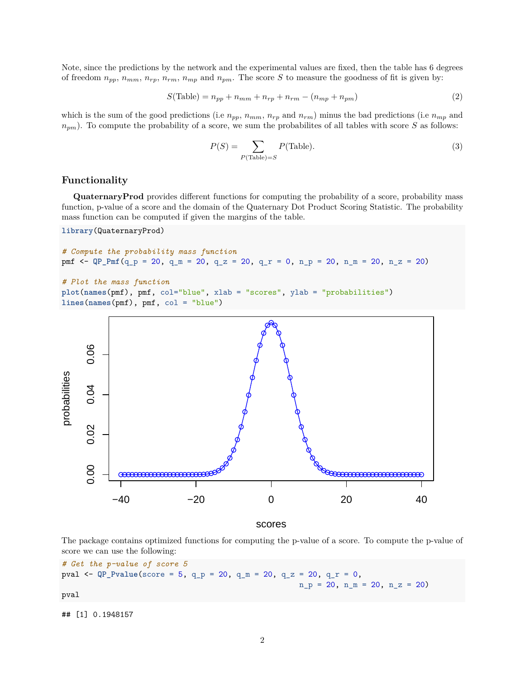Note, since the predictions by the network and the experimental values are fixed, then the table has 6 degrees of freedom  $n_{pp}$ ,  $n_{mm}$ ,  $n_{rp}$ ,  $n_{rm}$ ,  $n_{mp}$  and  $n_{pm}$ . The score *S* to measure the goodness of fit is given by:

$$
S(\text{Table}) = n_{pp} + n_{mm} + n_{rp} + n_{rm} - (n_{mp} + n_{pm})
$$
\n
$$
(2)
$$

which is the sum of the good predictions (i.e  $n_{pp}$ ,  $n_{mm}$ ,  $n_{rp}$  and  $n_{rm}$ ) minus the bad predictions (i.e  $n_{mp}$  and *npm*). To compute the probability of a score, we sum the probabilites of all tables with score *S* as follows:

$$
P(S) = \sum_{P(\text{Table})=S} P(\text{Table}).\tag{3}
$$

### **Functionality**

**QuaternaryProd** provides different functions for computing the probability of a score, probability mass function, p-value of a score and the domain of the Quaternary Dot Product Scoring Statistic. The probability mass function can be computed if given the margins of the table.

### **library**(QuaternaryProd)

```
# Compute the probability mass function
pmf <- QP_Pmf(q_p = 20, q_m = 20, q_z = 20, q_r = 0, n_p = 20, n_m = 20, n_z = 20)
```

```
# Plot the mass function
plot(names(pmf), pmf, col="blue", xlab = "scores", ylab = "probabilities")
lines(names(pmf), pmf, col = "blue")
```


scores

The package contains optimized functions for computing the p-value of a score. To compute the p-value of score we can use the following:

```
# Get the p-value of score 5
pval <- QP_Pvalue(score = 5, q_p = 20, q_m = 20, q_z = 20, q_r = 0,
                                                     n_p = 20, n_m = 20, n_z = 20pval
```

```
## [1] 0.1948157
```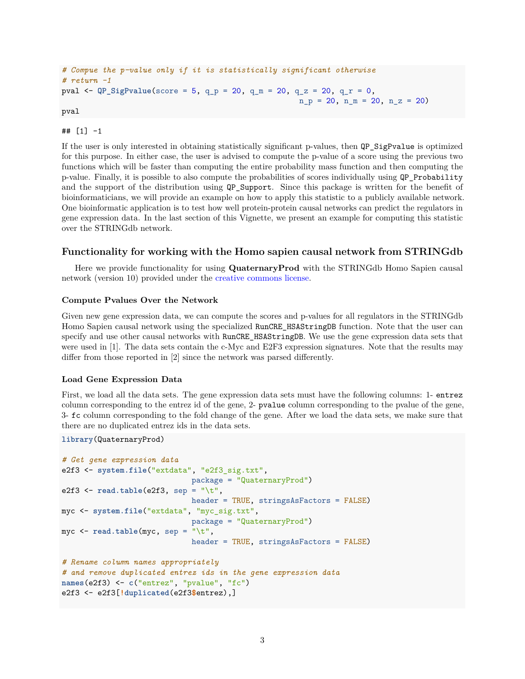```
# Compue the p-value only if it is statistically significant otherwise
# return -1
pval <- QP_SigPvalue(score = 5, q_p = 20, q_m = 20, q_z = 20, q_r = 0,
                                                     n_p = 20, n_m = 20, n_z = 20pval
```

```
## [1] -1
```
If the user is only interested in obtaining statistically significant p-values, then QP\_SigPvalue is optimized for this purpose. In either case, the user is advised to compute the p-value of a score using the previous two functions which will be faster than computing the entire probability mass function and then computing the p-value. Finally, it is possible to also compute the probabilities of scores individually using QP\_Probability and the support of the distribution using QP\_Support. Since this package is written for the benefit of bioinformaticians, we will provide an example on how to apply this statistic to a publicly available network. One bioinformatic application is to test how well protein-protein causal networks can predict the regulators in gene expression data. In the last section of this Vignette, we present an example for computing this statistic over the STRINGdb network.

## **Functionality for working with the Homo sapien causal network from STRINGdb**

Here we provide functionality for using **QuaternaryProd** with the STRINGdb Homo Sapien causal network (version 10) provided under the [creative commons license.](https://creativecommons.org/licenses/by/3.0/)

## **Compute Pvalues Over the Network**

Given new gene expression data, we can compute the scores and p-values for all regulators in the STRINGdb Homo Sapien causal network using the specialized RunCRE\_HSAStringDB function. Note that the user can specify and use other causal networks with RunCRE HSAStringDB. We use the gene expression data sets that were used in [1]. The data sets contain the c-Myc and E2F3 expression signatures. Note that the results may differ from those reported in [2] since the network was parsed differently.

#### **Load Gene Expression Data**

First, we load all the data sets. The gene expression data sets must have the following columns: 1- entrez column corresponding to the entrez id of the gene, 2- pvalue column corresponding to the pvalue of the gene, 3- fc column corresponding to the fold change of the gene. After we load the data sets, we make sure that there are no duplicated entrez ids in the data sets.

```
library(QuaternaryProd)
```

```
# Get gene expression data
e2f3 <- system.file("extdata", "e2f3_sig.txt",
                             package = "QuaternaryProd")
e2f3 <- read.table(e2f3, sep = "\t",
                             header = TRUE, stringsAsFactors = FALSE)
myc <- system.file("extdata", "myc_sig.txt",
                             package = "QuaternaryProd")
myc <- read.table(myc, sep = "\t",
                             header = TRUE, stringsAsFactors = FALSE)
# Rename column names appropriately
# and remove duplicated entrez ids in the gene expression data
names(e2f3) <- c("entrez", "pvalue", "fc")
e2f3 <- e2f3[!duplicated(e2f3$entrez),]
```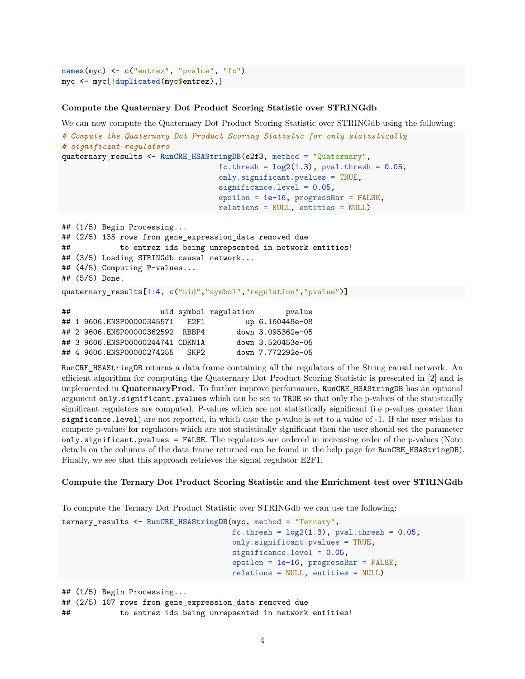```
names(myc) <- c("entrez", "pvalue", "fc")
myc <- myc[!duplicated(myc$entrez),]
```
## **Compute the Quaternary Dot Product Scoring Statistic over STRINGdb**

We can now compute the Quaternary Dot Product Scoring Statistic over STRINGdb using the following:

```
# Compute the Quaternary Dot Product Scoring Statistic for only statistically
# significant regulators
quaternary_results <- RunCRE_HSAStringDB(e2f3, method = "Quaternary",
                                  fc.thresh = log2(1.3), pval.thresh = 0.05,
                                  only.significant.pvalues = TRUE,
                                  significance.level = 0.05,
                                  epsilon = 1e-16, progressBar = FALSE,
                                  relations = NULL, entities = NULL)
## (1/5) Begin Processing...
## (2/5) 135 rows from gene expression data removed due
## to entrez ids being unrepsented in network entities!
```

```
## (3/5) Loading STRINGdb causal network...
```
## (4/5) Computing P-values...

## (5/5) Done.

quaternary\_results[1**:**4, **c**("uid","symbol","regulation","pvalue")]

| ## |                                  |       | uid symbol regulation | pvalue            |
|----|----------------------------------|-------|-----------------------|-------------------|
|    | ## 1 9606.ENSP00000345571        | F.2F1 |                       | up 6.160448e-08   |
|    | ## 2 9606.ENSP00000362592 RBBP4  |       |                       | down 3.095362e-05 |
|    | ## 3 9606.ENSP00000244741 CDKN1A |       |                       | down 3.520453e-05 |
|    | ## 4 9606.ENSP00000274255        | SKP2  |                       | down 7.772292e-05 |

RunCRE\_HSAStringDB returns a data frame containing all the regulators of the String causal network. An efficient algorithm for computing the Quaternary Dot Product Scoring Statistic is presented in [2] and is implemented in **QuaternaryProd**. To further improve performance, RunCRE\_HSAStringDB has an optional argument only.significant.pvalues which can be set to TRUE so that only the p-values of the statistically significant regulators are computed. P-values which are not statistically significant (i.e p-values greater than signficance.level) are not reported, in which case the p-value is set to a value of -1. If the user wishes to compute p-values for regulators which are not statistically significant then the user should set the parameter only.significant.pvalues = FALSE. The regulators are ordered in increasing order of the p-values (Note: details on the columns of the data frame returned can be found in the help page for RunCRE HSAStringDB). Finally, we see that this approach retrieves the signal regulator E2F1.

#### **Compute the Ternary Dot Product Scoring Statistic and the Enrichment test over STRINGdb**

To compute the Ternary Dot Product Statistic over STRINGdb we can use the following:

```
ternary_results <- RunCRE_HSAStringDB(myc, method = "Ternary",
                                      fc.thresh = log2(1.3), pval.thresh = 0.05,
                                      only.significant.pvalues = TRUE,
                                      significance.level = 0.05,
                                      epsilon = 1e-16, progressBar = FALSE,
                                      relations = NULL, entities = NULL)
## (1/5) Begin Processing...
## (2/5) 107 rows from gene_expression_data removed due
```
## to entrez ids being unrepsented in network entities!